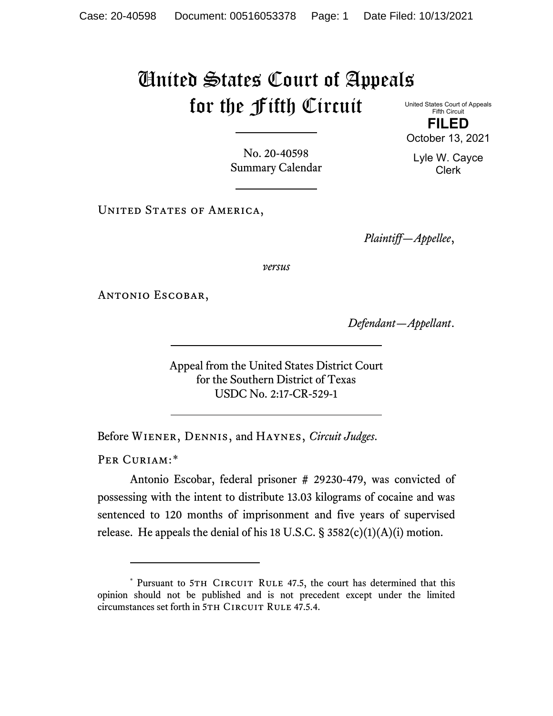## United States Court of Appeals for the Fifth Circuit

United States Court of Appeals Fifth Circuit **FILED** October 13, 2021

No. 20-40598 Summary Calendar

UNITED STATES OF AMERICA,

*Plaintiff—Appellee*,

*versus*

Antonio Escobar,

*Defendant—Appellant*.

Appeal from the United States District Court for the Southern District of Texas USDC No. 2:17-CR-529-1

Before Wiener, Dennis, and Haynes, *Circuit Judges*.

PER CURIAM:[\\*](#page-0-0)

Antonio Escobar, federal prisoner # 29230-479, was convicted of possessing with the intent to distribute 13.03 kilograms of cocaine and was sentenced to 120 months of imprisonment and five years of supervised release. He appeals the denial of his 18 U.S.C.  $\S$  3582(c)(1)(A)(i) motion.

Lyle W. Cayce Clerk

<span id="page-0-0"></span><sup>\*</sup> Pursuant to 5TH CIRCUIT RULE 47.5, the court has determined that this opinion should not be published and is not precedent except under the limited circumstances set forth in 5TH CIRCUIT RULE 47.5.4.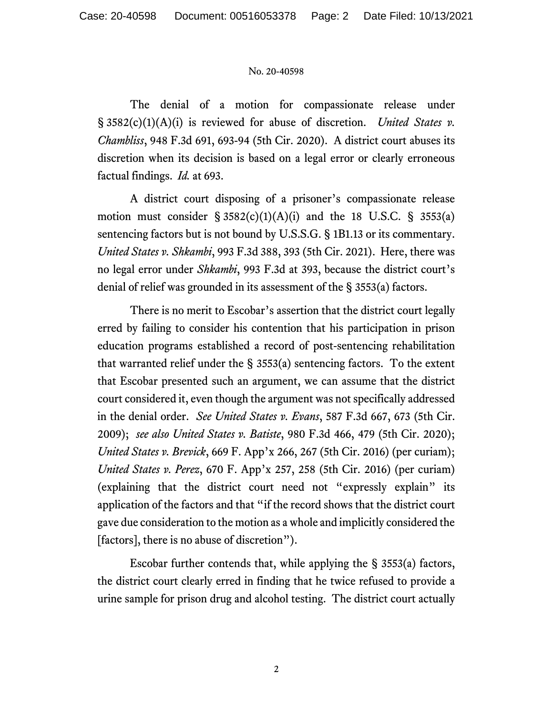## No. 20-40598

The denial of a motion for compassionate release under § 3582(c)(1)(A)(i) is reviewed for abuse of discretion. *United States v. Chambliss*, 948 F.3d 691, 693-94 (5th Cir. 2020). A district court abuses its discretion when its decision is based on a legal error or clearly erroneous factual findings. *Id.* at 693.

A district court disposing of a prisoner's compassionate release motion must consider  $\S 3582(c)(1)(A)(i)$  and the 18 U.S.C.  $\S 3553(a)$ sentencing factors but is not bound by U.S.S.G. § 1B1.13 or its commentary. *United States v. Shkambi*, 993 F.3d 388, 393 (5th Cir. 2021). Here, there was no legal error under *Shkambi*, 993 F.3d at 393, because the district court's denial of relief was grounded in its assessment of the § 3553(a) factors.

There is no merit to Escobar's assertion that the district court legally erred by failing to consider his contention that his participation in prison education programs established a record of post-sentencing rehabilitation that warranted relief under the  $\S$  3553(a) sentencing factors. To the extent that Escobar presented such an argument, we can assume that the district court considered it, even though the argument was not specifically addressed in the denial order. *See United States v. Evans*, 587 F.3d 667, 673 (5th Cir. 2009); *see also United States v. Batiste*, 980 F.3d 466, 479 (5th Cir. 2020); *United States v. Brevick*, 669 F. App'x 266, 267 (5th Cir. 2016) (per curiam); *United States v. Perez*, 670 F. App'x 257, 258 (5th Cir. 2016) (per curiam) (explaining that the district court need not "expressly explain" its application of the factors and that "if the record shows that the district court gave due consideration to the motion as a whole and implicitly considered the [factors], there is no abuse of discretion").

Escobar further contends that, while applying the § 3553(a) factors, the district court clearly erred in finding that he twice refused to provide a urine sample for prison drug and alcohol testing. The district court actually